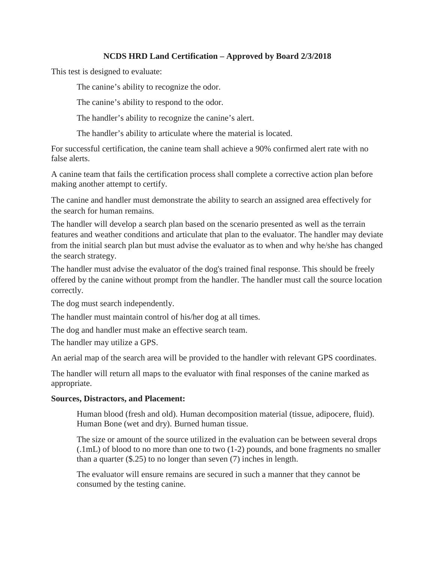## **NCDS HRD Land Certification – Approved by Board 2/3/2018**

This test is designed to evaluate:

The canine's ability to recognize the odor.

The canine's ability to respond to the odor.

The handler's ability to recognize the canine's alert.

The handler's ability to articulate where the material is located.

For successful certification, the canine team shall achieve a 90% confirmed alert rate with no false alerts.

A canine team that fails the certification process shall complete a corrective action plan before making another attempt to certify.

The canine and handler must demonstrate the ability to search an assigned area effectively for the search for human remains.

The handler will develop a search plan based on the scenario presented as well as the terrain features and weather conditions and articulate that plan to the evaluator. The handler may deviate from the initial search plan but must advise the evaluator as to when and why he/she has changed the search strategy.

The handler must advise the evaluator of the dog's trained final response. This should be freely offered by the canine without prompt from the handler. The handler must call the source location correctly.

The dog must search independently.

The handler must maintain control of his/her dog at all times.

The dog and handler must make an effective search team.

The handler may utilize a GPS.

An aerial map of the search area will be provided to the handler with relevant GPS coordinates.

The handler will return all maps to the evaluator with final responses of the canine marked as appropriate.

## **Sources, Distractors, and Placement:**

Human blood (fresh and old). Human decomposition material (tissue, adipocere, fluid). Human Bone (wet and dry). Burned human tissue.

The size or amount of the source utilized in the evaluation can be between several drops (.1mL) of blood to no more than one to two (1-2) pounds, and bone fragments no smaller than a quarter (\$.25) to no longer than seven (7) inches in length.

The evaluator will ensure remains are secured in such a manner that they cannot be consumed by the testing canine.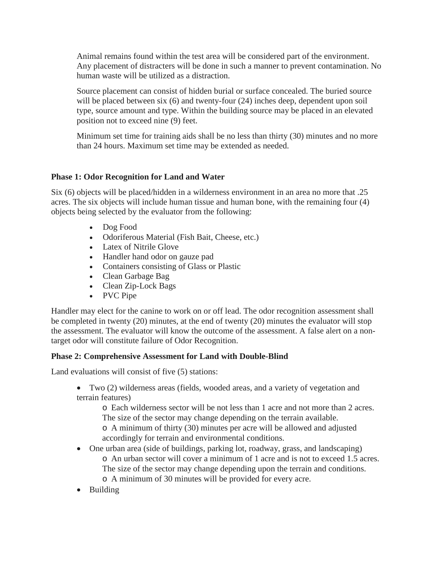Animal remains found within the test area will be considered part of the environment. Any placement of distracters will be done in such a manner to prevent contamination. No human waste will be utilized as a distraction.

Source placement can consist of hidden burial or surface concealed. The buried source will be placed between six (6) and twenty-four (24) inches deep, dependent upon soil type, source amount and type. Within the building source may be placed in an elevated position not to exceed nine (9) feet.

Minimum set time for training aids shall be no less than thirty (30) minutes and no more than 24 hours. Maximum set time may be extended as needed.

## **Phase 1: Odor Recognition for Land and Water**

Six (6) objects will be placed/hidden in a wilderness environment in an area no more that .25 acres. The six objects will include human tissue and human bone, with the remaining four (4) objects being selected by the evaluator from the following:

- Dog Food
- Odoriferous Material (Fish Bait, Cheese, etc.)
- Latex of Nitrile Glove
- Handler hand odor on gauze pad
- Containers consisting of Glass or Plastic
- Clean Garbage Bag
- Clean Zip-Lock Bags
- PVC Pipe

Handler may elect for the canine to work on or off lead. The odor recognition assessment shall be completed in twenty (20) minutes, at the end of twenty (20) minutes the evaluator will stop the assessment. The evaluator will know the outcome of the assessment. A false alert on a nontarget odor will constitute failure of Odor Recognition.

## **Phase 2: Comprehensive Assessment for Land with Double-Blind**

Land evaluations will consist of five (5) stations:

• Two (2) wilderness areas (fields, wooded areas, and a variety of vegetation and terrain features)

o Each wilderness sector will be not less than 1 acre and not more than 2 acres. The size of the sector may change depending on the terrain available. o A minimum of thirty (30) minutes per acre will be allowed and adjusted accordingly for terrain and environmental conditions.

- One urban area (side of buildings, parking lot, roadway, grass, and landscaping) o An urban sector will cover a minimum of 1 acre and is not to exceed 1.5 acres. The size of the sector may change depending upon the terrain and conditions. o A minimum of 30 minutes will be provided for every acre.
- Building